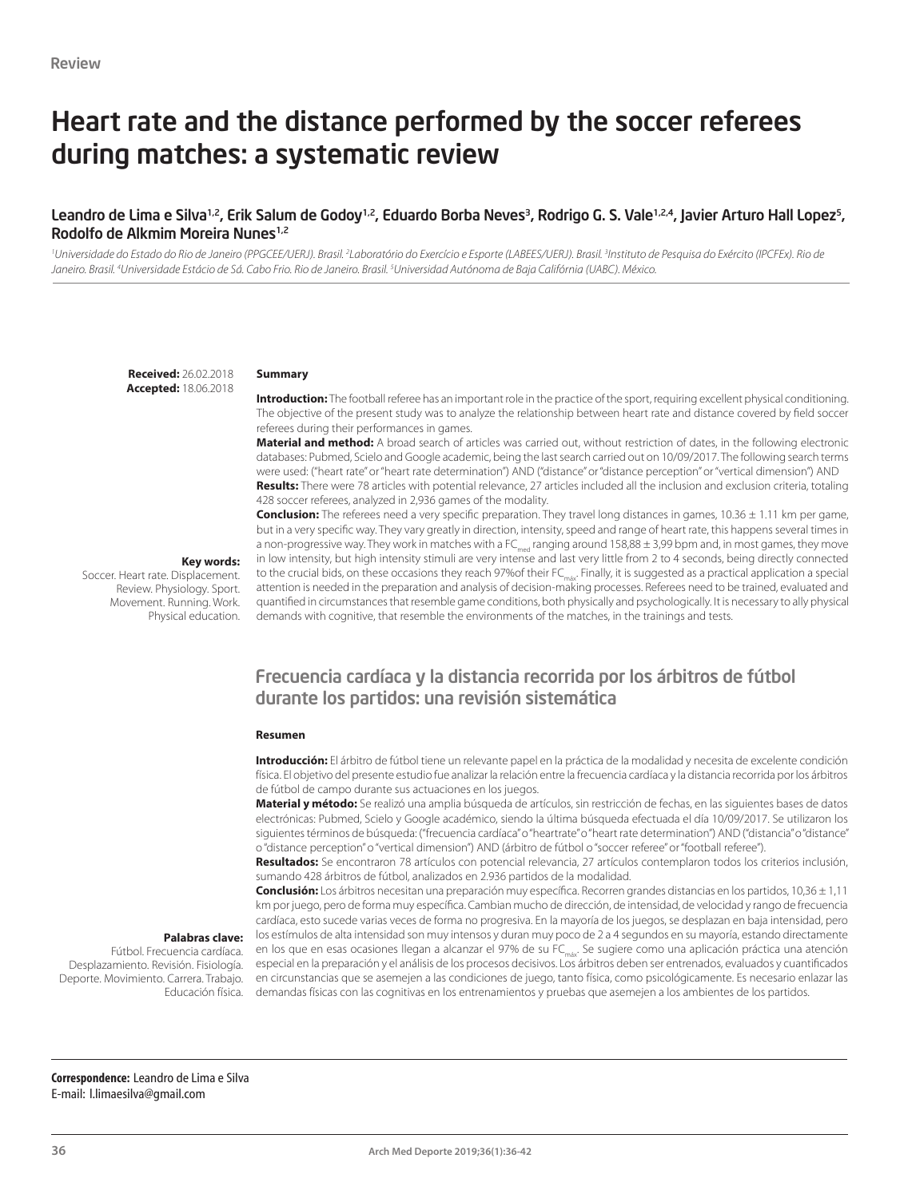# Heart rate and the distance performed by the soccer referees during matches: a systematic review

#### Leandro de Lima e Silva<sup>1,2</sup>, Erik Salum de Godoy<sup>1,2</sup>, Eduardo Borba Neves<sup>3</sup>, Rodrigo G. S. Vale<sup>1,2,4</sup>, Javier Arturo Hall Lopez<sup>5</sup>, Rodolfo de Alkmim Moreira Nunes1,2

<sup>1</sup>Universidade do Estado do Rio de Janeiro (PPGCEE/UERJ). Brasil. <sup>2</sup>Laboratório do Exercício e Esporte (LABEES/UERJ). Brasil. <sup>3</sup>Instituto de Pesquisa do Exército (IPCFEx). Rio de Janeiro. Brasil. <sup>4</sup>Universidade Estácio de Sá. Cabo Frio. Rio de Janeiro. Brasil. <sup>5</sup>Universidad Autónoma de Baja Califórnia (UABC). México.

**Received:** 26.02.2018 **Accepted:** 18.06.2018

#### **Summary**

**Introduction:** The football referee has an important role in the practice of the sport, requiring excellent physical conditioning. The objective of the present study was to analyze the relationship between heart rate and distance covered by field soccer referees during their performances in games.

**Material and method:** A broad search of articles was carried out, without restriction of dates, in the following electronic databases: Pubmed, Scielo and Google academic, being the last search carried out on 10/09/2017. The following search terms were used: ("heart rate" or "heart rate determination") AND ("distance" or "distance perception" or "vertical dimension") AND **Results:** There were 78 articles with potential relevance, 27 articles included all the inclusion and exclusion criteria, totaling 428 soccer referees, analyzed in 2,936 games of the modality.

#### **Key words:**

Soccer. Heart rate. Displacement. Review. Physiology. Sport. Movement. Running. Work. Physical education. **Conclusion:** The referees need a very specific preparation. They travel long distances in games, 10.36  $\pm$  1.11 km per game, but in a very specific way. They vary greatly in direction, intensity, speed and range of heart rate, this happens several times in a non-progressive way. They work in matches with a FC<sub>med</sub> ranging around 158,88  $\pm$  3,99 bpm and, in most games, they move in low intensity, but high intensity stimuli are very intense and last very little from 2 to 4 seconds, being directly connected to the crucial bids, on these occasions they reach 97%of their FC<sub>máx</sub>. Finally, it is suggested as a practical application a special attention is needed in the preparation and analysis of decision-making processes. Referees need to be trained, evaluated and quantified in circumstances that resemble game conditions, both physically and psychologically. It is necessary to ally physical demands with cognitive, that resemble the environments of the matches, in the trainings and tests.

## Frecuencia cardíaca y la distancia recorrida por los árbitros de fútbol durante los partidos: una revisión sistemática

#### **Resumen**

**Introducción:** El árbitro de fútbol tiene un relevante papel en la práctica de la modalidad y necesita de excelente condición física. El objetivo del presente estudio fue analizar la relación entre la frecuencia cardíaca y la distancia recorrida por los árbitros de fútbol de campo durante sus actuaciones en los juegos.

**Material y método:** Se realizó una amplia búsqueda de artículos, sin restricción de fechas, en las siguientes bases de datos electrónicas: Pubmed, Scielo y Google académico, siendo la última búsqueda efectuada el día 10/09/2017. Se utilizaron los siguientes términos de búsqueda: ("frecuencia cardíaca" o "heartrate" o "heart rate determination") AND ("distancia" o "distance" o "distance perception" o "vertical dimension") AND (árbitro de fútbol o "soccer referee" or "football referee").

**Resultados:** Se encontraron 78 artículos con potencial relevancia, 27 artículos contemplaron todos los criterios inclusión, sumando 428 árbitros de fútbol, analizados en 2.936 partidos de la modalidad.

**Conclusión:** Los árbitros necesitan una preparación muy específica. Recorren grandes distancias en los partidos, 10,36 ± 1,11 km por juego, pero de forma muy específica. Cambian mucho de dirección, de intensidad, de velocidad y rango de frecuencia cardíaca, esto sucede varias veces de forma no progresiva. En la mayoría de los juegos, se desplazan en baja intensidad, pero los estímulos de alta intensidad son muy intensos y duran muy poco de 2 a 4 segundos en su mayoría, estando directamente en los que en esas ocasiones llegan a alcanzar el 97% de su FC<sub>máx</sub>. Se sugiere como una aplicación práctica una atención especial en la preparación y el análisis de los procesos decisivos. Los árbitros deben ser entrenados, evaluados y cuantificados en circunstancias que se asemejen a las condiciones de juego, tanto física, como psicológicamente. Es necesario enlazar las demandas físicas con las cognitivas en los entrenamientos y pruebas que asemejen a los ambientes de los partidos.

#### **Palabras clave:**

Fútbol. Frecuencia cardíaca. Desplazamiento. Revisión. Fisiología. Deporte. Movimiento. Carrera. Trabajo. Educación física.

**Correspondence:** Leandro de Lima e Silva E-mail: l.limaesilva@gmail.com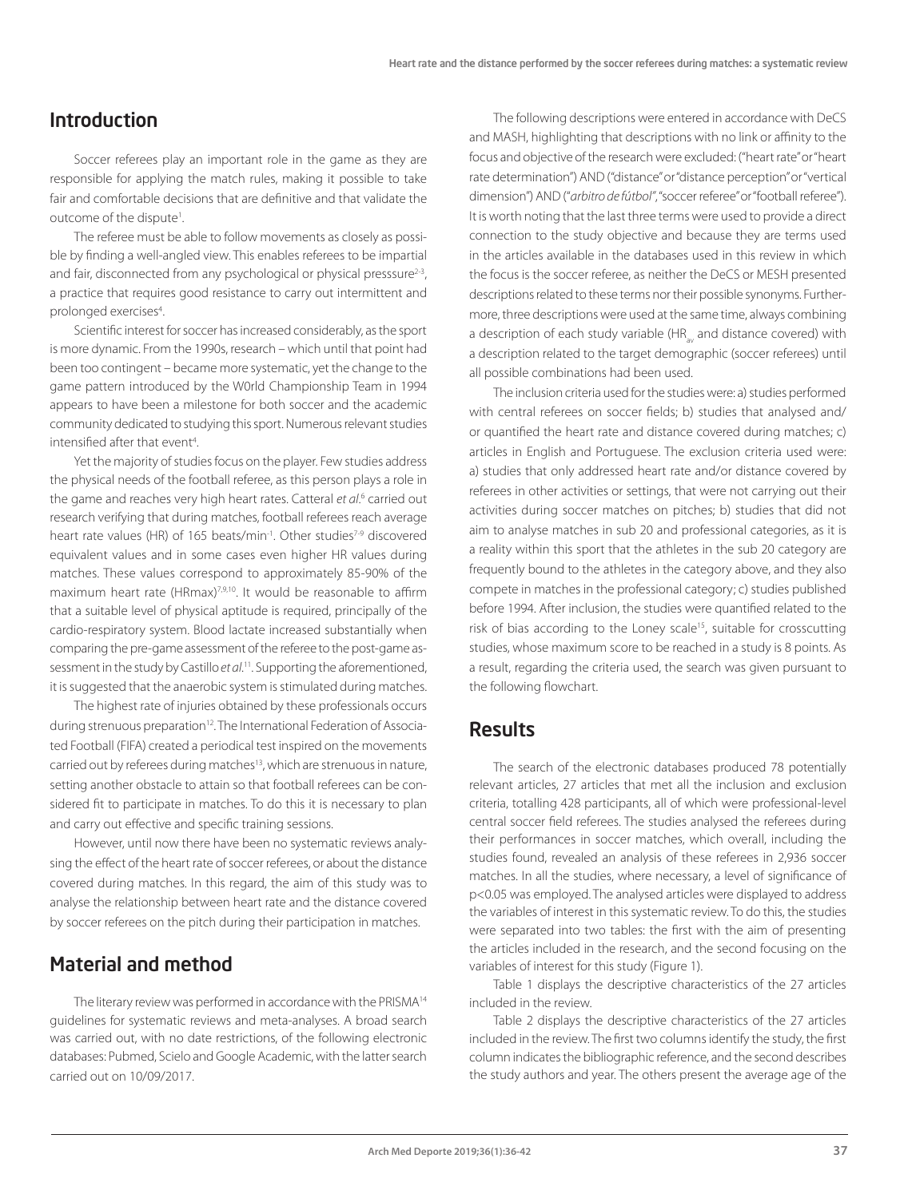# Introduction

Soccer referees play an important role in the game as they are responsible for applying the match rules, making it possible to take fair and comfortable decisions that are definitive and that validate the outcome of the dispute<sup>1</sup>. .

The referee must be able to follow movements as closely as possible by finding a well-angled view. This enables referees to be impartial and fair, disconnected from any psychological or physical presssure $2-3$ , a practice that requires good resistance to carry out intermittent and prolonged exercises4 .

Scientific interest for soccer has increased considerably, as the sport is more dynamic. From the 1990s, research – which until that point had been too contingent – became more systematic, yet the change to the game pattern introduced by the W0rld Championship Team in 1994 appears to have been a milestone for both soccer and the academic community dedicated to studying this sport. Numerous relevant studies intensified after that event<sup>4</sup>. .

Yet the majority of studies focus on the player. Few studies address the physical needs of the football referee, as this person plays a role in the game and reaches very high heart rates. Catteral *et al*. 6 carried out research verifying that during matches, football referees reach average heart rate values (HR) of 165 beats/min<sup>-1</sup>. Other studies<sup>7-9</sup> discovered equivalent values and in some cases even higher HR values during matches. These values correspond to approximately 85-90% of the maximum heart rate (HRmax)<sup>7,9,10</sup>. It would be reasonable to affirm that a suitable level of physical aptitude is required, principally of the cardio-respiratory system. Blood lactate increased substantially when comparing the pre-game assessment of the referee to the post-game assessment in the study by Castillo *et al*. 11. Supporting the aforementioned, it is suggested that the anaerobic system is stimulated during matches.

The highest rate of injuries obtained by these professionals occurs during strenuous preparation<sup>12</sup>. The International Federation of Associated Football (FIFA) created a periodical test inspired on the movements carried out by referees during matches<sup>13</sup>, which are strenuous in nature, setting another obstacle to attain so that football referees can be considered fit to participate in matches. To do this it is necessary to plan and carry out effective and specific training sessions.

However, until now there have been no systematic reviews analysing the effect of the heart rate of soccer referees, or about the distance covered during matches. In this regard, the aim of this study was to analyse the relationship between heart rate and the distance covered by soccer referees on the pitch during their participation in matches.

# Material and method

The literary review was performed in accordance with the PRISMA14 guidelines for systematic reviews and meta-analyses. A broad search was carried out, with no date restrictions, of the following electronic databases: Pubmed, Scielo and Google Academic, with the latter search carried out on 10/09/2017.

The following descriptions were entered in accordance with DeCS and MASH, highlighting that descriptions with no link or affinity to the focus and objective of the research were excluded: ("heart rate" or "heart rate determination") AND ("distance" or "distance perception" or "vertical dimension") AND ("*arbitro de fútbol"*, "soccer referee" or "football referee"). It is worth noting that the last three terms were used to provide a direct connection to the study objective and because they are terms used in the articles available in the databases used in this review in which the focus is the soccer referee, as neither the DeCS or MESH presented descriptions related to these terms nor their possible synonyms. Furthermore, three descriptions were used at the same time, always combining a description of each study variable (HR and distance covered) with a description related to the target demographic (soccer referees) until all possible combinations had been used.

The inclusion criteria used for the studies were: a) studies performed with central referees on soccer fields; b) studies that analysed and/ or quantified the heart rate and distance covered during matches; c) articles in English and Portuguese. The exclusion criteria used were: a) studies that only addressed heart rate and/or distance covered by referees in other activities or settings, that were not carrying out their activities during soccer matches on pitches; b) studies that did not aim to analyse matches in sub 20 and professional categories, as it is a reality within this sport that the athletes in the sub 20 category are frequently bound to the athletes in the category above, and they also compete in matches in the professional category; c) studies published before 1994. After inclusion, the studies were quantified related to the risk of bias according to the Loney scale<sup>15</sup>, suitable for crosscutting studies, whose maximum score to be reached in a study is 8 points. As a result, regarding the criteria used, the search was given pursuant to the following flowchart.

## Results

The search of the electronic databases produced 78 potentially relevant articles, 27 articles that met all the inclusion and exclusion criteria, totalling 428 participants, all of which were professional-level central soccer field referees. The studies analysed the referees during their performances in soccer matches, which overall, including the studies found, revealed an analysis of these referees in 2,936 soccer matches. In all the studies, where necessary, a level of significance of p<0.05 was employed. The analysed articles were displayed to address the variables of interest in this systematic review. To do this, the studies were separated into two tables: the first with the aim of presenting the articles included in the research, and the second focusing on the variables of interest for this study (Figure 1).

Table 1 displays the descriptive characteristics of the 27 articles included in the review.

Table 2 displays the descriptive characteristics of the 27 articles included in the review. The first two columns identify the study, the first column indicates the bibliographic reference, and the second describes the study authors and year. The others present the average age of the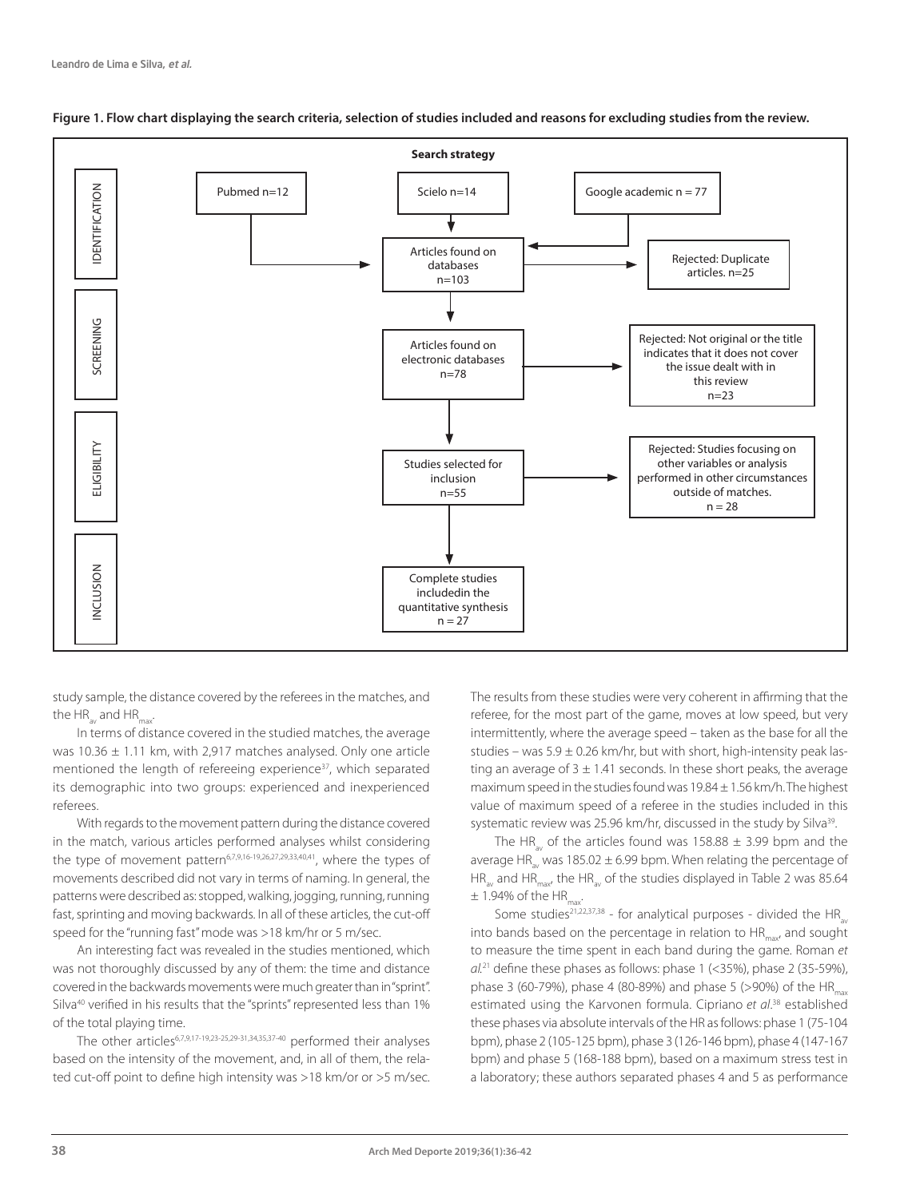

#### **Figure 1. Flow chart displaying the search criteria, selection of studies included and reasons for excluding studies from the review.**

study sample, the distance covered by the referees in the matches, and the  $HR_{av}$  and  $HR_{max}$ .

In terms of distance covered in the studied matches, the average was 10.36 ± 1.11 km, with 2,917 matches analysed. Only one article mentioned the length of refereeing experience<sup>37</sup>, which separated its demographic into two groups: experienced and inexperienced referees.

With regards to the movement pattern during the distance covered in the match, various articles performed analyses whilst considering the type of movement pattern<sup>6,7,9,16-19,26,27,29,33,40,41</sup>, where the types of movements described did not vary in terms of naming. In general, the patterns were described as: stopped, walking, jogging, running, running fast, sprinting and moving backwards. In all of these articles, the cut-off speed for the "running fast" mode was >18 km/hr or 5 m/sec.

An interesting fact was revealed in the studies mentioned, which was not thoroughly discussed by any of them: the time and distance covered in the backwards movements were much greater than in "sprint". Silva<sup>40</sup> verified in his results that the "sprints" represented less than 1% of the total playing time.

The other articles6,7,9,17-19,23-25,29-31,34,35,37-40 performed their analyses based on the intensity of the movement, and, in all of them, the related cut-off point to define high intensity was >18 km/or or >5 m/sec. The results from these studies were very coherent in affirming that the referee, for the most part of the game, moves at low speed, but very intermittently, where the average speed – taken as the base for all the studies – was  $5.9 \pm 0.26$  km/hr, but with short, high-intensity peak lasting an average of  $3 \pm 1.41$  seconds. In these short peaks, the average maximum speed in the studies found was 19.84 ± 1.56 km/h. The highest value of maximum speed of a referee in the studies included in this systematic review was 25.96 km/hr, discussed in the study by Silva<sup>39</sup>.

The HR<sub>av</sub> of the articles found was 158.88  $\pm$  3.99 bpm and the average HR<sub>av</sub> was 185.02  $\pm$  6.99 bpm. When relating the percentage of HR<sub>av</sub> and HR<sub>max</sub>, the HR<sub>av</sub> of the studies displayed in Table 2 was 85.64  $+ 1.94\%$  of the HR

Some studies<sup>21,22,37,38</sup> - for analytical purposes - divided the HR into bands based on the percentage in relation to  $HR_{\text{max}}$  and sought to measure the time spent in each band during the game. Roman *et al.*21 define these phases as follows: phase 1 (<35%), phase 2 (35-59%), phase 3 (60-79%), phase 4 (80-89%) and phase 5 (>90%) of the HR<sub>max</sub> estimated using the Karvonen formula. Cipriano *et al*. 38 established these phases via absolute intervals of the HR as follows: phase 1 (75-104 bpm), phase 2 (105-125 bpm), phase 3 (126-146 bpm), phase 4 (147-167 bpm) and phase 5 (168-188 bpm), based on a maximum stress test in a laboratory; these authors separated phases 4 and 5 as performance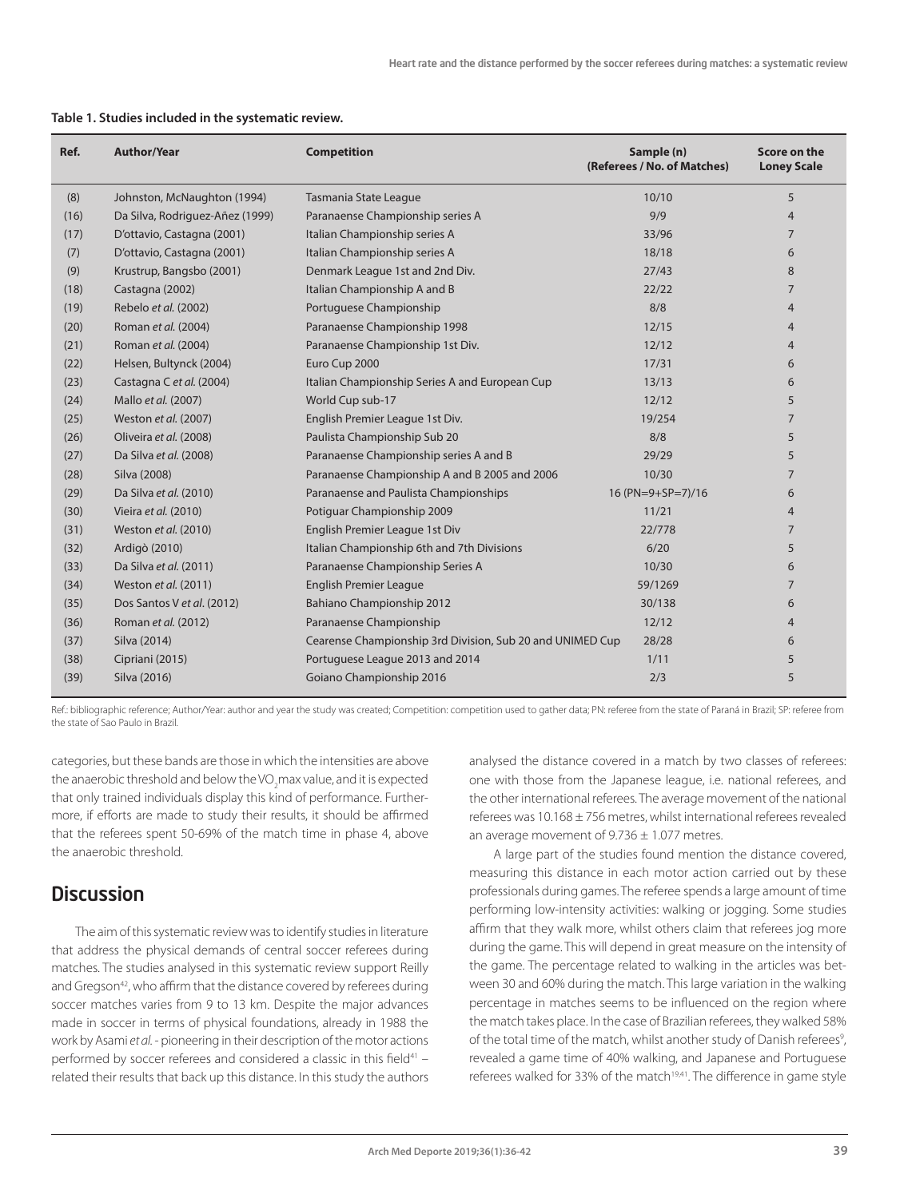| Ref. | <b>Author/Year</b>              | <b>Competition</b><br>(Referees / No. of Matches)         |                   | Score on the<br><b>Loney Scale</b> |  |
|------|---------------------------------|-----------------------------------------------------------|-------------------|------------------------------------|--|
| (8)  | Johnston, McNaughton (1994)     | Tasmania State League                                     | 10/10             | 5                                  |  |
| (16) | Da Silva, Rodriguez-Añez (1999) | Paranaense Championship series A                          | 9/9               | $\overline{4}$                     |  |
| (17) | D'ottavio, Castagna (2001)      | Italian Championship series A                             | 33/96             | $\overline{7}$                     |  |
| (7)  | D'ottavio, Castagna (2001)      | Italian Championship series A                             | 18/18             | 6                                  |  |
| (9)  | Krustrup, Bangsbo (2001)        | Denmark League 1st and 2nd Div.                           | 27/43             | 8                                  |  |
| (18) | Castagna (2002)                 | Italian Championship A and B                              | 22/22             | $\overline{7}$                     |  |
| (19) | Rebelo et al. (2002)            | Portuguese Championship                                   | 8/8               | $\overline{4}$                     |  |
| (20) | Roman et al. (2004)             | Paranaense Championship 1998                              | 12/15             | $\overline{4}$                     |  |
| (21) | Roman et al. (2004)             | Paranaense Championship 1st Div.                          | 12/12             | $\overline{4}$                     |  |
| (22) | Helsen, Bultynck (2004)         | Euro Cup 2000                                             | 17/31             | 6                                  |  |
| (23) | Castagna C et al. (2004)        | Italian Championship Series A and European Cup            | 13/13             | 6                                  |  |
| (24) | Mallo et al. (2007)             | World Cup sub-17                                          | 12/12             | 5                                  |  |
| (25) | Weston et al. (2007)            | English Premier League 1st Div.                           | 19/254            | $\overline{7}$                     |  |
| (26) | Oliveira et al. (2008)          | Paulista Championship Sub 20                              | 8/8               | 5                                  |  |
| (27) | Da Silva et al. (2008)          | Paranaense Championship series A and B                    | 29/29             | 5                                  |  |
| (28) | Silva (2008)                    | Paranaense Championship A and B 2005 and 2006             | 10/30             | $\overline{7}$                     |  |
| (29) | Da Silva et al. (2010)          | Paranaense and Paulista Championships                     | 16 (PN=9+SP=7)/16 | 6                                  |  |
| (30) | Vieira et al. (2010)            | Potiguar Championship 2009                                | 11/21             | $\overline{4}$                     |  |
| (31) | Weston et al. (2010)            | English Premier League 1st Div                            | 22/778            | $\overline{7}$                     |  |
| (32) | Ardigò (2010)                   | Italian Championship 6th and 7th Divisions                | 6/20              | 5                                  |  |
| (33) | Da Silva et al. (2011)          | Paranaense Championship Series A                          | 10/30             | 6                                  |  |
| (34) | Weston et al. (2011)            | <b>English Premier League</b>                             | 59/1269           | $\overline{7}$                     |  |
| (35) | Dos Santos V et al. (2012)      | Bahiano Championship 2012                                 | 30/138            | 6                                  |  |
| (36) | Roman et al. (2012)             | Paranaense Championship                                   | 12/12             | $\overline{4}$                     |  |
| (37) | Silva (2014)                    | Cearense Championship 3rd Division, Sub 20 and UNIMED Cup | 28/28             | 6                                  |  |
| (38) | Cipriani (2015)                 | Portuguese League 2013 and 2014                           | 1/11              | 5                                  |  |
| (39) | Silva (2016)                    | Goiano Championship 2016                                  | 2/3               | 5                                  |  |

|  |  |  |  | Table 1. Studies included in the systematic review. |  |
|--|--|--|--|-----------------------------------------------------|--|
|--|--|--|--|-----------------------------------------------------|--|

Ref.: bibliographic reference; Author/Year: author and year the study was created; Competition: competition used to gather data; PN: referee from the state of Paraná in Brazil; SP: referee from the state of Sao Paulo in Brazil.

categories, but these bands are those in which the intensities are above the anaerobic threshold and below the VO<sub>2</sub>max value, and it is expected that only trained individuals display this kind of performance. Furthermore, if efforts are made to study their results, it should be affirmed that the referees spent 50-69% of the match time in phase 4, above the anaerobic threshold.

# **Discussion**

The aim of this systematic review was to identify studies in literature that address the physical demands of central soccer referees during matches. The studies analysed in this systematic review support Reilly and Gregson<sup>42</sup>, who affirm that the distance covered by referees during soccer matches varies from 9 to 13 km. Despite the major advances made in soccer in terms of physical foundations, already in 1988 the work by Asami *et al.* - pioneering in their description of the motor actions performed by soccer referees and considered a classic in this field<sup>41</sup> – related their results that back up this distance. In this study the authors analysed the distance covered in a match by two classes of referees: one with those from the Japanese league, i.e. national referees, and the other international referees. The average movement of the national referees was 10.168 ± 756 metres, whilst international referees revealed an average movement of  $9.736 \pm 1.077$  metres.

A large part of the studies found mention the distance covered, measuring this distance in each motor action carried out by these professionals during games. The referee spends a large amount of time performing low-intensity activities: walking or jogging. Some studies affirm that they walk more, whilst others claim that referees jog more during the game. This will depend in great measure on the intensity of the game. The percentage related to walking in the articles was between 30 and 60% during the match. This large variation in the walking percentage in matches seems to be influenced on the region where the match takes place. In the case of Brazilian referees, they walked 58% of the total time of the match, whilst another study of Danish referees<sup>9</sup>, revealed a game time of 40% walking, and Japanese and Portuguese referees walked for 33% of the match<sup>19,41</sup>. The difference in game style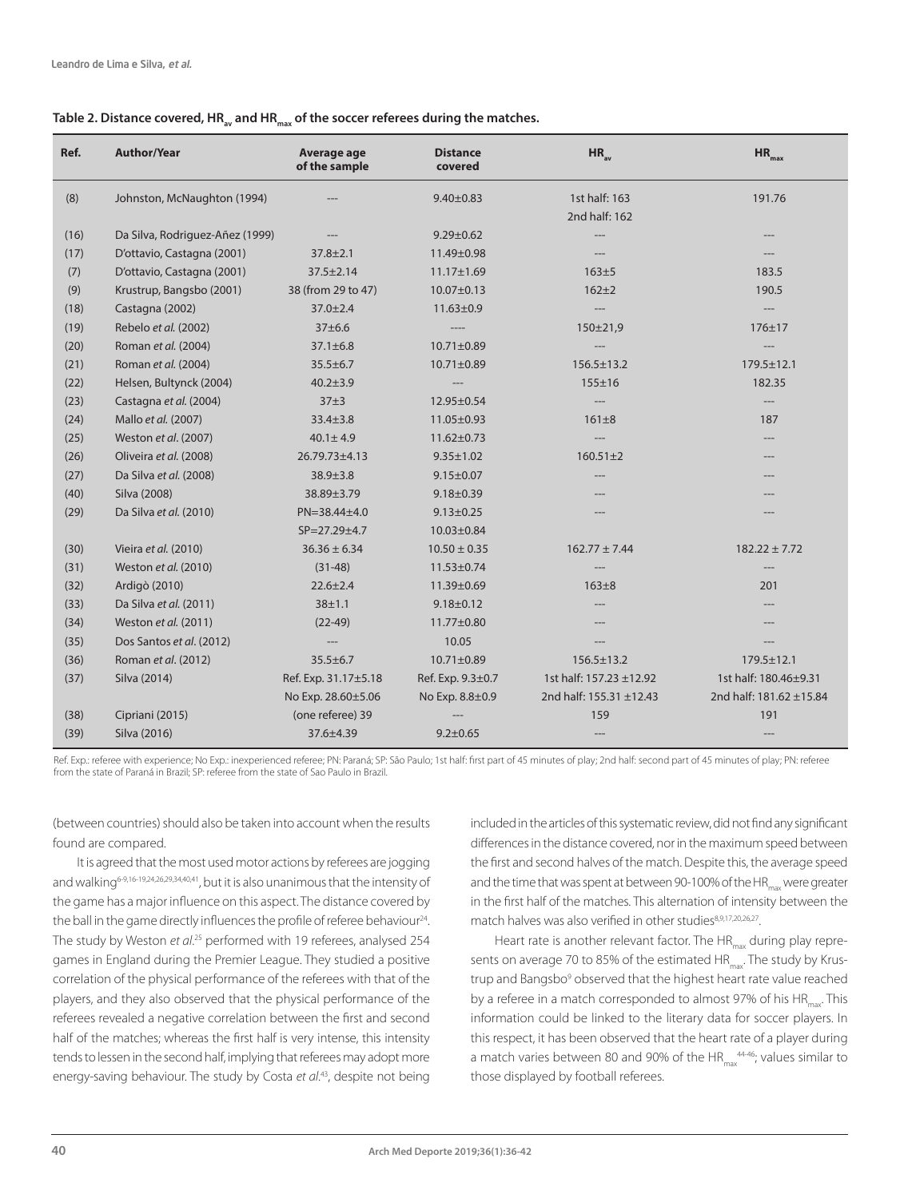#### Table 2. Distance covered, HR<sub>av</sub> and HR<sub>max</sub> of the soccer referees during the matches.

| Ref. | <b>Author/Year</b>              | Average age<br>of the sample | <b>Distance</b><br>covered | $HR_{av}$               | $HR_{max}$                             |
|------|---------------------------------|------------------------------|----------------------------|-------------------------|----------------------------------------|
| (8)  | Johnston, McNaughton (1994)     |                              | $9.40 \pm 0.83$            | 1st half: 163           | 191.76                                 |
|      |                                 |                              |                            | 2nd half: 162           |                                        |
| (16) | Da Silva, Rodriguez-Añez (1999) |                              | $9.29 \pm 0.62$            |                         |                                        |
| (17) | D'ottavio, Castagna (2001)      | $37.8 \pm 2.1$               | 11.49±0.98                 |                         |                                        |
| (7)  | D'ottavio, Castagna (2001)      | $37.5 \pm 2.14$              | $11.17 \pm 1.69$           | $163 + 5$               | 183.5                                  |
| (9)  | Krustrup, Bangsbo (2001)        | 38 (from 29 to 47)           | $10.07 \pm 0.13$           | $162 + 2$               | 190.5                                  |
| (18) | Castagna (2002)                 | $37.0 \pm 2.4$               | $11.63 \pm 0.9$            |                         | $\hspace{1.5cm} \ldots \hspace{1.5cm}$ |
| (19) | Rebelo et al. (2002)            | 37±6.6                       | ----                       | $150 \pm 21.9$          | $176 + 17$                             |
| (20) | Roman et al. (2004)             | $37.1 \pm 6.8$               | $10.71 \pm 0.89$           | $---$                   | ---                                    |
| (21) | Roman et al. (2004)             | $35.5 \pm 6.7$               | 10.71±0.89                 | $156.5 \pm 13.2$        | $179.5 \pm 12.1$                       |
| (22) | Helsen, Bultynck (2004)         | $40.2 \pm 3.9$               |                            | $155 + 16$              | 182.35                                 |
| (23) | Castagna et al. (2004)          | $37\pm3$                     | $12.95 \pm 0.54$           |                         | $---$                                  |
| (24) | Mallo et al. (2007)             | $33.4 \pm 3.8$               | 11.05±0.93                 | $161 \pm 8$             | 187                                    |
| (25) | Weston et al. (2007)            | $40.1 \pm 4.9$               | $11.62 \pm 0.73$           | $---$                   |                                        |
| (26) | Oliveira et al. (2008)          | 26.79.73±4.13                | $9.35 \pm 1.02$            | $160.51 \pm 2$          |                                        |
| (27) | Da Silva et al. (2008)          | 38.9±3.8                     | $9.15 \pm 0.07$            | ---                     |                                        |
| (40) | Silva (2008)                    | 38.89±3.79                   | $9.18 \pm 0.39$            |                         |                                        |
| (29) | Da Silva et al. (2010)          | $PN = 38.44 \pm 4.0$         | $9.13 \pm 0.25$            |                         |                                        |
|      |                                 | SP=27.29±4.7                 | $10.03 \pm 0.84$           |                         |                                        |
| (30) | Vieira et al. (2010)            | $36.36 \pm 6.34$             | $10.50 \pm 0.35$           | $162.77 \pm 7.44$       | $182.22 \pm 7.72$                      |
| (31) | Weston et al. (2010)            | $(31-48)$                    | $11.53 \pm 0.74$           |                         |                                        |
| (32) | Ardigò (2010)                   | $22.6 \pm 2.4$               | 11.39±0.69                 | $163 + 8$               | 201                                    |
| (33) | Da Silva et al. (2011)          | $38 + 1.1$                   | $9.18 \pm 0.12$            |                         |                                        |
| (34) | Weston et al. (2011)            | $(22-49)$                    | 11.77±0.80                 |                         |                                        |
| (35) | Dos Santos et al. (2012)        | ---                          | 10.05                      |                         |                                        |
| (36) | Roman et al. (2012)             | $35.5 \pm 6.7$               | $10.71 \pm 0.89$           | $156.5 \pm 13.2$        | 179.5±12.1                             |
| (37) | Silva (2014)                    | Ref. Exp. 31.17±5.18         | Ref. Exp. 9.3±0.7          | 1st half: 157.23 ±12.92 | 1st half: 180.46+9.31                  |
|      |                                 | No Exp. 28.60±5.06           | No Exp. 8.8±0.9            | 2nd half: 155.31 ±12.43 | 2nd half: 181.62 ±15.84                |
| (38) | Cipriani (2015)                 | (one referee) 39             |                            | 159                     | 191                                    |
| (39) | Silva (2016)                    | 37.6±4.39                    | $9.2 \pm 0.65$             | ---                     | ---                                    |

Ref. Exp.: referee with experience: No Exp.: inexperienced referee; PN: Paraná; SP: São Paulo; 1st half: first part of 45 minutes of play; 2nd half: second part of 45 minutes of play; PN: referee from the state of Paraná in Brazil; SP: referee from the state of Sao Paulo in Brazil.

(between countries) should also be taken into account when the results found are compared.

It is agreed that the most used motor actions by referees are jogging and walking<sup>6-9,16-19,24,26,29,34,40,41</sup>, but it is also unanimous that the intensity of the game has a major influence on this aspect. The distance covered by the ball in the game directly influences the profile of referee behaviour<sup>24</sup>. The study by Weston et al.<sup>25</sup> performed with 19 referees, analysed 254 games in England during the Premier League. They studied a positive correlation of the physical performance of the referees with that of the players, and they also observed that the physical performance of the referees revealed a negative correlation between the first and second half of the matches; whereas the first half is very intense, this intensity tends to lessen in the second half, implying that referees may adopt more energy-saving behaviour. The study by Costa *et al*. 43, despite not being included in the articles of this systematic review, did not find any significant differences in the distance covered, nor in the maximum speed between the first and second halves of the match. Despite this, the average speed and the time that was spent at between 90-100% of the HR<sub>um</sub> were greater in the first half of the matches. This alternation of intensity between the match halves was also verified in other studies8,9,17,20,26,27.

Heart rate is another relevant factor. The  $HR_{max}$  during play represents on average 70 to 85% of the estimated  $HR_{max}$ . The study by Krustrup and Bangsbo<sup>9</sup> observed that the highest heart rate value reached by a referee in a match corresponded to almost 97% of his  $HR_{\text{max}}$ . This information could be linked to the literary data for soccer players. In this respect, it has been observed that the heart rate of a player during a match varies between 80 and 90% of the HR<sub>max</sub><sup>4446</sup>; values similar to those displayed by football referees.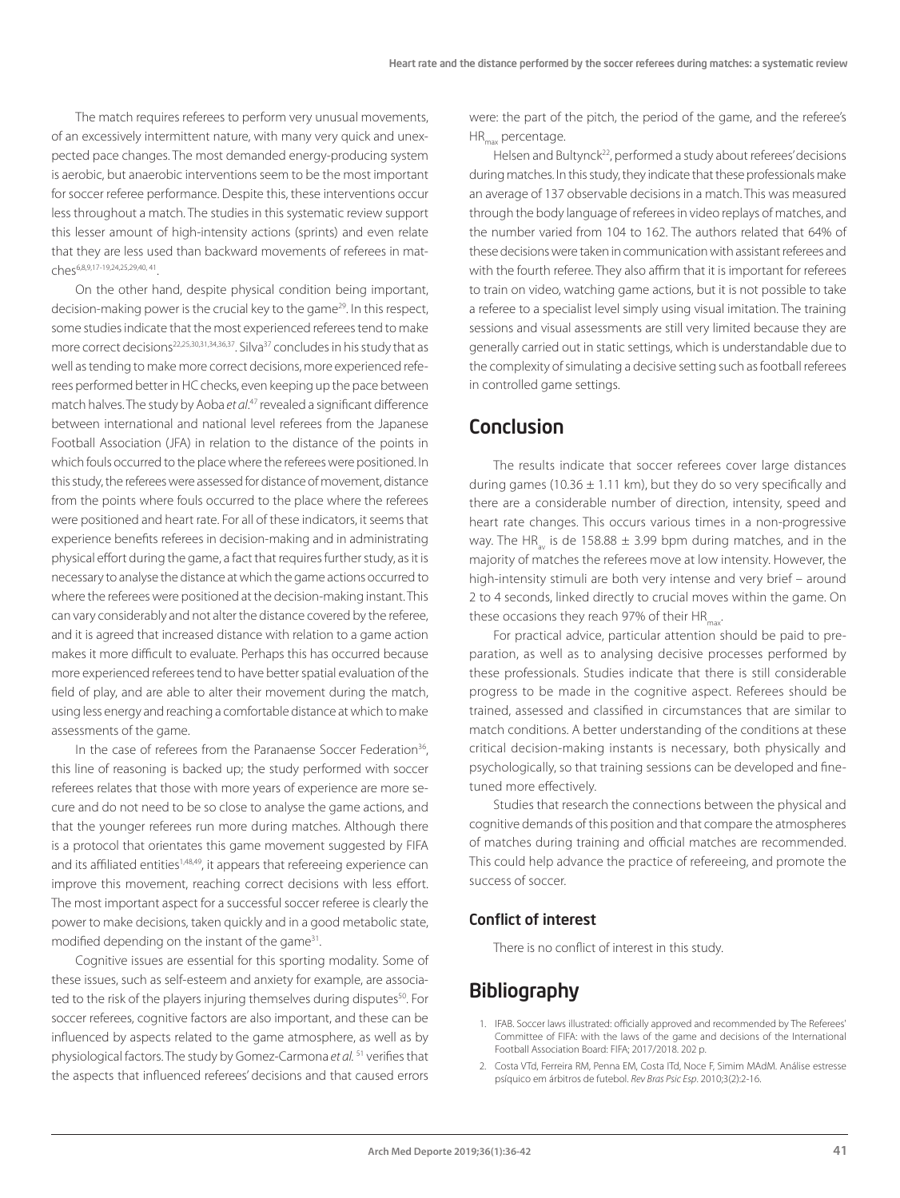The match requires referees to perform very unusual movements, of an excessively intermittent nature, with many very quick and unexpected pace changes. The most demanded energy-producing system is aerobic, but anaerobic interventions seem to be the most important for soccer referee performance. Despite this, these interventions occur less throughout a match. The studies in this systematic review support this lesser amount of high-intensity actions (sprints) and even relate that they are less used than backward movements of referees in matches6,8,9,17-19,24,25,29,40, 41.

On the other hand, despite physical condition being important, decision-making power is the crucial key to the game<sup>29</sup>. In this respect, some studies indicate that the most experienced referees tend to make more correct decisions<sup>22,25,30,31,34,36,37</sup>. Silva<sup>37</sup> concludes in his study that as well as tending to make more correct decisions, more experienced referees performed better in HC checks, even keeping up the pace between match halves. The study by Aoba *et al*. 47 revealed a significant difference between international and national level referees from the Japanese Football Association (JFA) in relation to the distance of the points in which fouls occurred to the place where the referees were positioned. In this study, the referees were assessed for distance of movement, distance from the points where fouls occurred to the place where the referees were positioned and heart rate. For all of these indicators, it seems that experience benefits referees in decision-making and in administrating physical effort during the game, a fact that requires further study, as it is necessary to analyse the distance at which the game actions occurred to where the referees were positioned at the decision-making instant. This can vary considerably and not alter the distance covered by the referee, and it is agreed that increased distance with relation to a game action makes it more difficult to evaluate. Perhaps this has occurred because more experienced referees tend to have better spatial evaluation of the field of play, and are able to alter their movement during the match, using less energy and reaching a comfortable distance at which to make assessments of the game.

In the case of referees from the Paranaense Soccer Federation<sup>36</sup>, this line of reasoning is backed up; the study performed with soccer referees relates that those with more years of experience are more secure and do not need to be so close to analyse the game actions, and that the younger referees run more during matches. Although there is a protocol that orientates this game movement suggested by FIFA and its affiliated entities<sup>1,48,49</sup>, it appears that refereeing experience can improve this movement, reaching correct decisions with less effort. The most important aspect for a successful soccer referee is clearly the power to make decisions, taken quickly and in a good metabolic state, modified depending on the instant of the game<sup>31</sup>.

Cognitive issues are essential for this sporting modality. Some of these issues, such as self-esteem and anxiety for example, are associated to the risk of the players injuring themselves during disputes<sup>50</sup>. For soccer referees, cognitive factors are also important, and these can be influenced by aspects related to the game atmosphere, as well as by physiological factors. The study by Gomez-Carmona *et al.* 51 verifies that the aspects that influenced referees' decisions and that caused errors were: the part of the pitch, the period of the game, and the referee's HR<sub>max</sub> percentage.

Helsen and Bultynck<sup>22</sup>, performed a study about referees' decisions during matches. In this study, they indicate that these professionals make an average of 137 observable decisions in a match. This was measured through the body language of referees in video replays of matches, and the number varied from 104 to 162. The authors related that 64% of these decisions were taken in communication with assistant referees and with the fourth referee. They also affirm that it is important for referees to train on video, watching game actions, but it is not possible to take a referee to a specialist level simply using visual imitation. The training sessions and visual assessments are still very limited because they are generally carried out in static settings, which is understandable due to the complexity of simulating a decisive setting such as football referees in controlled game settings.

# Conclusion

The results indicate that soccer referees cover large distances during games (10.36  $\pm$  1.11 km), but they do so very specifically and there are a considerable number of direction, intensity, speed and heart rate changes. This occurs various times in a non-progressive way. The HR is de 158.88  $\pm$  3.99 bpm during matches, and in the majority of matches the referees move at low intensity. However, the high-intensity stimuli are both very intense and very brief – around 2 to 4 seconds, linked directly to crucial moves within the game. On these occasions they reach 97% of their  $HR_{\text{max}}$ .

For practical advice, particular attention should be paid to preparation, as well as to analysing decisive processes performed by these professionals. Studies indicate that there is still considerable progress to be made in the cognitive aspect. Referees should be trained, assessed and classified in circumstances that are similar to match conditions. A better understanding of the conditions at these critical decision-making instants is necessary, both physically and psychologically, so that training sessions can be developed and finetuned more effectively.

Studies that research the connections between the physical and cognitive demands of this position and that compare the atmospheres of matches during training and official matches are recommended. This could help advance the practice of refereeing, and promote the success of soccer.

### Conflict of interest

There is no conflict of interest in this study.

# **Bibliography**

- 1. IFAB. Soccer laws illustrated: officially approved and recommended by The Referees' Committee of FIFA: with the laws of the game and decisions of the International Football Association Board: FIFA; 2017/2018. 202 p.
- 2. Costa VTd, Ferreira RM, Penna EM, Costa ITd, Noce F, Simim MAdM. Análise estresse psíquico em árbitros de futebol. *Rev Bras Psic Esp*. 2010;3(2):2-16.